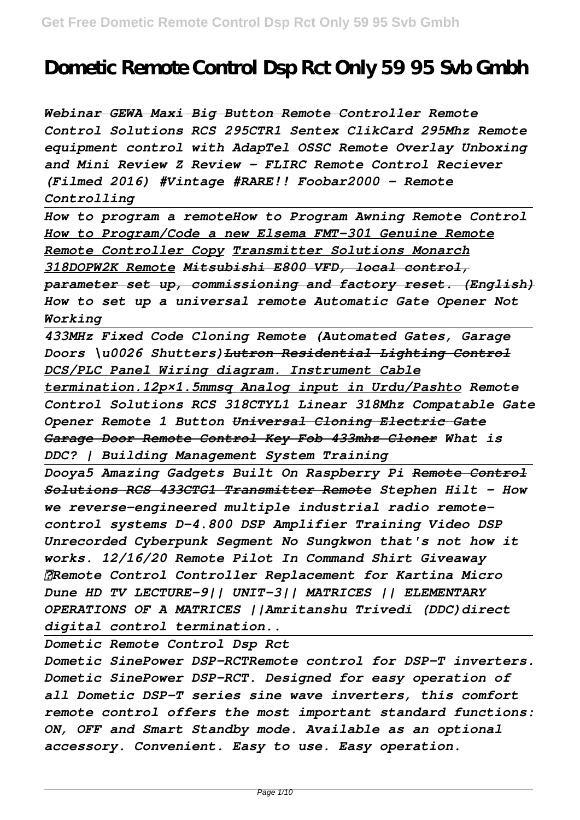## **Dometic Remote Control Dsp Rct Only 59 95 Svb Gmbh**

*Webinar GEWA Maxi Big Button Remote Controller Remote Control Solutions RCS 295CTR1 Sentex ClikCard 295Mhz Remote equipment control with AdapTel OSSC Remote Overlay Unboxing and Mini Review Z Review - FLIRC Remote Control Reciever (Filmed 2016) #Vintage #RARE!! Foobar2000 - Remote Controlling*

*How to program a remoteHow to Program Awning Remote Control How to Program/Code a new Elsema FMT-301 Genuine Remote Remote Controller Copy Transmitter Solutions Monarch 318DOPW2K Remote Mitsubishi E800 VFD, local control, parameter set up, commissioning and factory reset. (English) How to set up a universal remote Automatic Gate Opener Not Working*

*433MHz Fixed Code Cloning Remote (Automated Gates, Garage Doors \u0026 Shutters)Lutron Residential Lighting Control DCS/PLC Panel Wiring diagram. Instrument Cable termination.12p×1.5mmsq Analog input in Urdu/Pashto Remote Control Solutions RCS 318CTYL1 Linear 318Mhz Compatable Gate Opener Remote 1 Button Universal Cloning Electric Gate Garage Door Remote Control Key Fob 433mhz Cloner What is DDC? | Building Management System Training*

*Dooya5 Amazing Gadgets Built On Raspberry Pi Remote Control Solutions RCS 433CTG1 Transmitter Remote Stephen Hilt - How we reverse-engineered multiple industrial radio remotecontrol systems D-4.800 DSP Amplifier Training Video DSP Unrecorded Cyberpunk Segment No Sungkwon that's not how it works. 12/16/20 Remote Pilot In Command Shirt Giveaway ✓Remote Control Controller Replacement for Kartina Micro Dune HD TV LECTURE-9|| UNIT-3|| MATRICES || ELEMENTARY OPERATIONS OF A MATRICES ||Amritanshu Trivedi (DDC)direct digital control termination..*

*Dometic Remote Control Dsp Rct*

*Dometic SinePower DSP-RCTRemote control for DSP-T inverters. Dometic SinePower DSP-RCT. Designed for easy operation of all Dometic DSP-T series sine wave inverters, this comfort remote control offers the most important standard functions: ON, OFF and Smart Standby mode. Available as an optional accessory. Convenient. Easy to use. Easy operation.*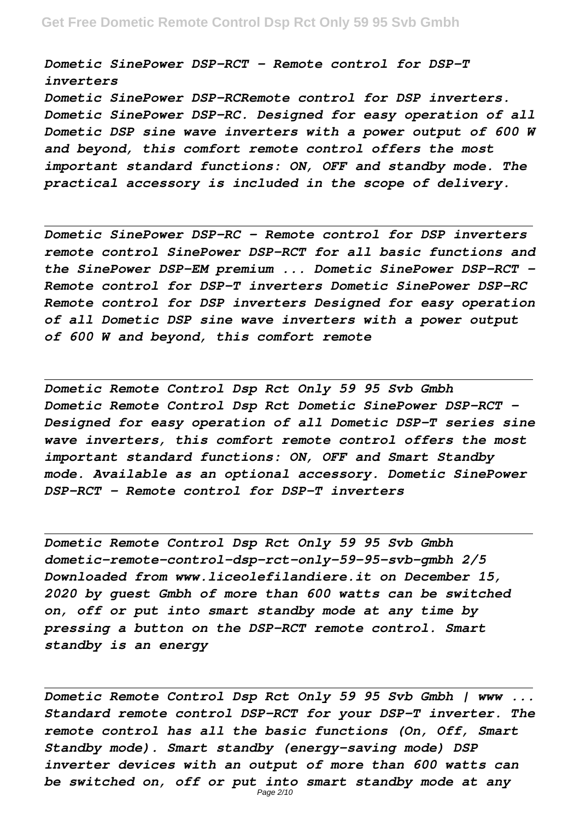*Dometic SinePower DSP-RCT - Remote control for DSP-T inverters*

*Dometic SinePower DSP-RCRemote control for DSP inverters. Dometic SinePower DSP-RC. Designed for easy operation of all Dometic DSP sine wave inverters with a power output of 600 W and beyond, this comfort remote control offers the most important standard functions: ON, OFF and standby mode. The practical accessory is included in the scope of delivery.*

*Dometic SinePower DSP-RC - Remote control for DSP inverters remote control SinePower DSP-RCT for all basic functions and the SinePower DSP-EM premium ... Dometic SinePower DSP-RCT - Remote control for DSP-T inverters Dometic SinePower DSP-RC Remote control for DSP inverters Designed for easy operation of all Dometic DSP sine wave inverters with a power output of 600 W and beyond, this comfort remote*

*Dometic Remote Control Dsp Rct Only 59 95 Svb Gmbh Dometic Remote Control Dsp Rct Dometic SinePower DSP-RCT - Designed for easy operation of all Dometic DSP-T series sine wave inverters, this comfort remote control offers the most important standard functions: ON, OFF and Smart Standby mode. Available as an optional accessory. Dometic SinePower DSP-RCT - Remote control for DSP-T inverters*

*Dometic Remote Control Dsp Rct Only 59 95 Svb Gmbh dometic-remote-control-dsp-rct-only-59-95-svb-gmbh 2/5 Downloaded from www.liceolefilandiere.it on December 15, 2020 by guest Gmbh of more than 600 watts can be switched on, off or put into smart standby mode at any time by pressing a button on the DSP-RCT remote control. Smart standby is an energy*

*Dometic Remote Control Dsp Rct Only 59 95 Svb Gmbh | www ... Standard remote control DSP-RCT for your DSP-T inverter. The remote control has all the basic functions (On, Off, Smart Standby mode). Smart standby (energy-saving mode) DSP inverter devices with an output of more than 600 watts can be switched on, off or put into smart standby mode at any* Page 2/10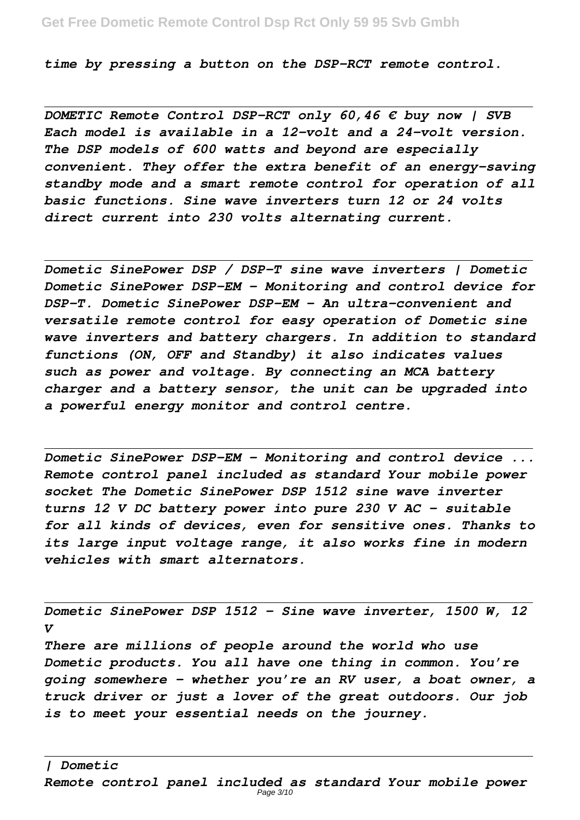*time by pressing a button on the DSP-RCT remote control.*

*DOMETIC Remote Control DSP-RCT only 60,46 € buy now | SVB Each model is available in a 12-volt and a 24-volt version. The DSP models of 600 watts and beyond are especially convenient. They offer the extra benefit of an energy-saving standby mode and a smart remote control for operation of all basic functions. Sine wave inverters turn 12 or 24 volts direct current into 230 volts alternating current.*

*Dometic SinePower DSP / DSP-T sine wave inverters | Dometic Dometic SinePower DSP-EM - Monitoring and control device for DSP-T. Dometic SinePower DSP-EM - An ultra-convenient and versatile remote control for easy operation of Dometic sine wave inverters and battery chargers. In addition to standard functions (ON, OFF and Standby) it also indicates values such as power and voltage. By connecting an MCA battery charger and a battery sensor, the unit can be upgraded into a powerful energy monitor and control centre.*

*Dometic SinePower DSP-EM - Monitoring and control device ... Remote control panel included as standard Your mobile power socket The Dometic SinePower DSP 1512 sine wave inverter turns 12 V DC battery power into pure 230 V AC – suitable for all kinds of devices, even for sensitive ones. Thanks to its large input voltage range, it also works fine in modern vehicles with smart alternators.*

*Dometic SinePower DSP 1512 - Sine wave inverter, 1500 W, 12 V*

*There are millions of people around the world who use Dometic products. You all have one thing in common. You're going somewhere – whether you're an RV user, a boat owner, a truck driver or just a lover of the great outdoors. Our job is to meet your essential needs on the journey.*

*| Dometic*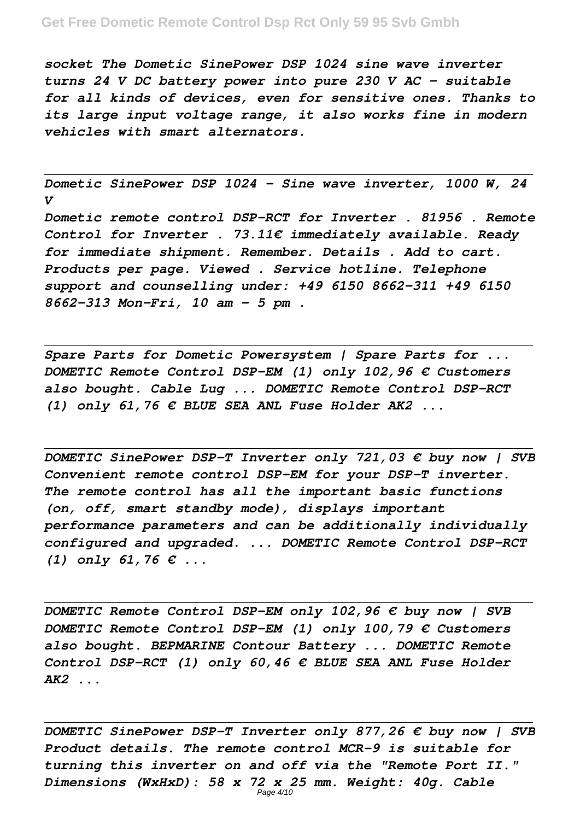*socket The Dometic SinePower DSP 1024 sine wave inverter turns 24 V DC battery power into pure 230 V AC – suitable for all kinds of devices, even for sensitive ones. Thanks to its large input voltage range, it also works fine in modern vehicles with smart alternators.*

*Dometic SinePower DSP 1024 - Sine wave inverter, 1000 W, 24 V*

*Dometic remote control DSP-RCT for Inverter . 81956 . Remote Control for Inverter . 73.11€ immediately available. Ready for immediate shipment. Remember. Details . Add to cart. Products per page. Viewed . Service hotline. Telephone support and counselling under: +49 6150 8662-311 +49 6150 8662-313 Mon-Fri, 10 am - 5 pm .*

*Spare Parts for Dometic Powersystem | Spare Parts for ... DOMETIC Remote Control DSP-EM (1) only 102,96 € Customers also bought. Cable Lug ... DOMETIC Remote Control DSP-RCT (1) only 61,76 € BLUE SEA ANL Fuse Holder AK2 ...*

*DOMETIC SinePower DSP-T Inverter only 721,03 € buy now | SVB Convenient remote control DSP-EM for your DSP-T inverter. The remote control has all the important basic functions (on, off, smart standby mode), displays important performance parameters and can be additionally individually configured and upgraded. ... DOMETIC Remote Control DSP-RCT (1) only 61,76 € ...*

*DOMETIC Remote Control DSP-EM only 102,96 € buy now | SVB DOMETIC Remote Control DSP-EM (1) only 100,79 € Customers also bought. BEPMARINE Contour Battery ... DOMETIC Remote Control DSP-RCT (1) only 60,46 € BLUE SEA ANL Fuse Holder AK2 ...*

*DOMETIC SinePower DSP-T Inverter only 877,26 € buy now | SVB Product details. The remote control MCR-9 is suitable for turning this inverter on and off via the "Remote Port II." Dimensions (WxHxD): 58 x 72 x 25 mm. Weight: 40g. Cable* Page 4/10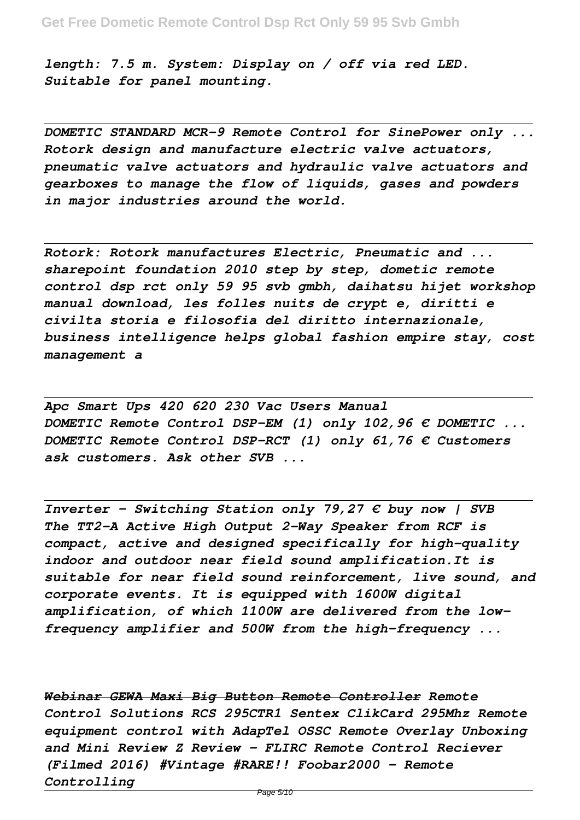*length: 7.5 m. System: Display on / off via red LED. Suitable for panel mounting.*

*DOMETIC STANDARD MCR-9 Remote Control for SinePower only ... Rotork design and manufacture electric valve actuators, pneumatic valve actuators and hydraulic valve actuators and gearboxes to manage the flow of liquids, gases and powders in major industries around the world.*

*Rotork: Rotork manufactures Electric, Pneumatic and ... sharepoint foundation 2010 step by step, dometic remote control dsp rct only 59 95 svb gmbh, daihatsu hijet workshop manual download, les folles nuits de crypt e, diritti e civilta storia e filosofia del diritto internazionale, business intelligence helps global fashion empire stay, cost management a*

*Apc Smart Ups 420 620 230 Vac Users Manual DOMETIC Remote Control DSP-EM (1) only 102,96 € DOMETIC ... DOMETIC Remote Control DSP-RCT (1) only 61,76 € Customers ask customers. Ask other SVB ...*

*Inverter - Switching Station only 79,27 € buy now | SVB The TT2-A Active High Output 2-Way Speaker from RCF is compact, active and designed specifically for high-quality indoor and outdoor near field sound amplification.It is suitable for near field sound reinforcement, live sound, and corporate events. It is equipped with 1600W digital amplification, of which 1100W are delivered from the lowfrequency amplifier and 500W from the high-frequency ...*

*Webinar GEWA Maxi Big Button Remote Controller Remote Control Solutions RCS 295CTR1 Sentex ClikCard 295Mhz Remote equipment control with AdapTel OSSC Remote Overlay Unboxing and Mini Review Z Review - FLIRC Remote Control Reciever (Filmed 2016) #Vintage #RARE!! Foobar2000 - Remote Controlling*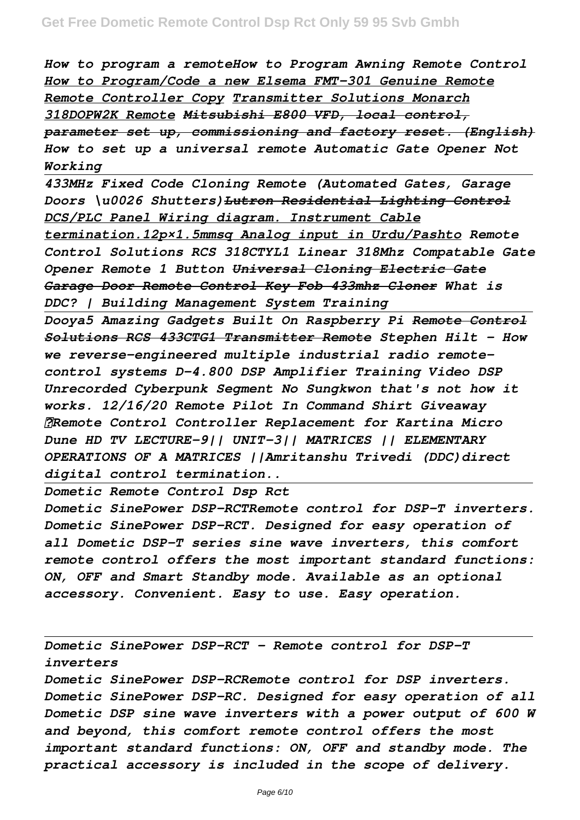*How to program a remoteHow to Program Awning Remote Control How to Program/Code a new Elsema FMT-301 Genuine Remote Remote Controller Copy Transmitter Solutions Monarch 318DOPW2K Remote Mitsubishi E800 VFD, local control, parameter set up, commissioning and factory reset. (English) How to set up a universal remote Automatic Gate Opener Not Working*

*433MHz Fixed Code Cloning Remote (Automated Gates, Garage Doors \u0026 Shutters)Lutron Residential Lighting Control DCS/PLC Panel Wiring diagram. Instrument Cable termination.12p×1.5mmsq Analog input in Urdu/Pashto Remote Control Solutions RCS 318CTYL1 Linear 318Mhz Compatable Gate Opener Remote 1 Button Universal Cloning Electric Gate Garage Door Remote Control Key Fob 433mhz Cloner What is DDC? | Building Management System Training*

*Dooya5 Amazing Gadgets Built On Raspberry Pi Remote Control Solutions RCS 433CTG1 Transmitter Remote Stephen Hilt - How we reverse-engineered multiple industrial radio remotecontrol systems D-4.800 DSP Amplifier Training Video DSP Unrecorded Cyberpunk Segment No Sungkwon that's not how it works. 12/16/20 Remote Pilot In Command Shirt Giveaway ✓Remote Control Controller Replacement for Kartina Micro Dune HD TV LECTURE-9|| UNIT-3|| MATRICES || ELEMENTARY OPERATIONS OF A MATRICES ||Amritanshu Trivedi (DDC)direct digital control termination..*

*Dometic Remote Control Dsp Rct Dometic SinePower DSP-RCTRemote control for DSP-T inverters. Dometic SinePower DSP-RCT. Designed for easy operation of all Dometic DSP-T series sine wave inverters, this comfort remote control offers the most important standard functions: ON, OFF and Smart Standby mode. Available as an optional accessory. Convenient. Easy to use. Easy operation.*

*Dometic SinePower DSP-RCT - Remote control for DSP-T inverters*

*Dometic SinePower DSP-RCRemote control for DSP inverters. Dometic SinePower DSP-RC. Designed for easy operation of all Dometic DSP sine wave inverters with a power output of 600 W and beyond, this comfort remote control offers the most important standard functions: ON, OFF and standby mode. The practical accessory is included in the scope of delivery.*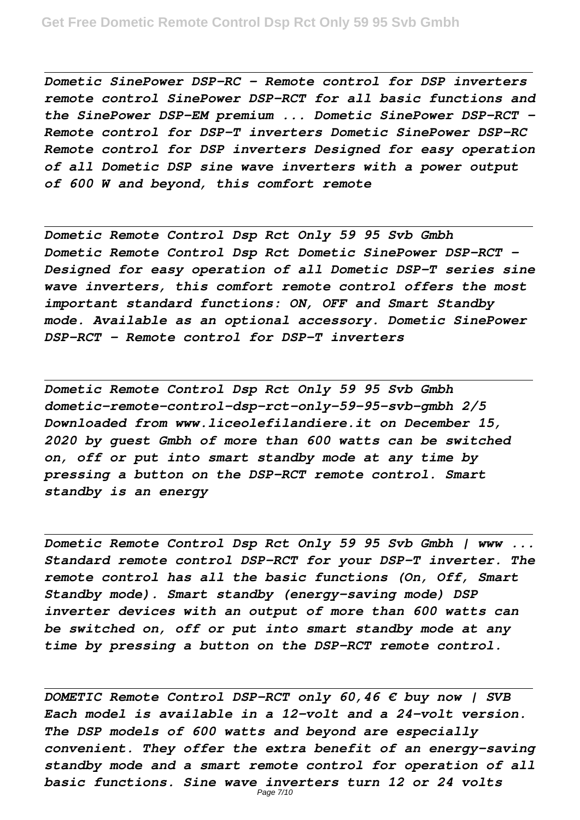*Dometic SinePower DSP-RC - Remote control for DSP inverters remote control SinePower DSP-RCT for all basic functions and the SinePower DSP-EM premium ... Dometic SinePower DSP-RCT - Remote control for DSP-T inverters Dometic SinePower DSP-RC Remote control for DSP inverters Designed for easy operation of all Dometic DSP sine wave inverters with a power output of 600 W and beyond, this comfort remote*

*Dometic Remote Control Dsp Rct Only 59 95 Svb Gmbh Dometic Remote Control Dsp Rct Dometic SinePower DSP-RCT - Designed for easy operation of all Dometic DSP-T series sine wave inverters, this comfort remote control offers the most important standard functions: ON, OFF and Smart Standby mode. Available as an optional accessory. Dometic SinePower DSP-RCT - Remote control for DSP-T inverters*

*Dometic Remote Control Dsp Rct Only 59 95 Svb Gmbh dometic-remote-control-dsp-rct-only-59-95-svb-gmbh 2/5 Downloaded from www.liceolefilandiere.it on December 15, 2020 by guest Gmbh of more than 600 watts can be switched on, off or put into smart standby mode at any time by pressing a button on the DSP-RCT remote control. Smart standby is an energy*

*Dometic Remote Control Dsp Rct Only 59 95 Svb Gmbh | www ... Standard remote control DSP-RCT for your DSP-T inverter. The remote control has all the basic functions (On, Off, Smart Standby mode). Smart standby (energy-saving mode) DSP inverter devices with an output of more than 600 watts can be switched on, off or put into smart standby mode at any time by pressing a button on the DSP-RCT remote control.*

*DOMETIC Remote Control DSP-RCT only 60,46 € buy now | SVB Each model is available in a 12-volt and a 24-volt version. The DSP models of 600 watts and beyond are especially convenient. They offer the extra benefit of an energy-saving standby mode and a smart remote control for operation of all basic functions. Sine wave inverters turn 12 or 24 volts*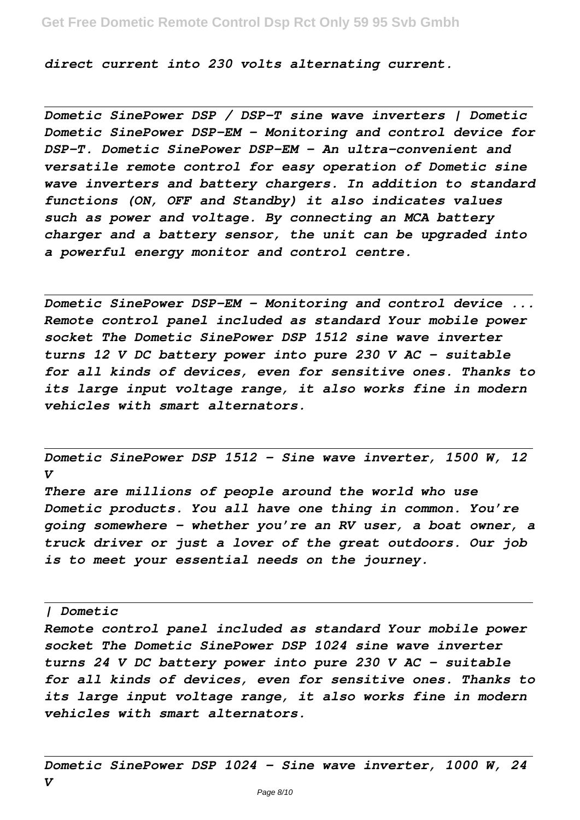*direct current into 230 volts alternating current.*

*Dometic SinePower DSP / DSP-T sine wave inverters | Dometic Dometic SinePower DSP-EM - Monitoring and control device for DSP-T. Dometic SinePower DSP-EM - An ultra-convenient and versatile remote control for easy operation of Dometic sine wave inverters and battery chargers. In addition to standard functions (ON, OFF and Standby) it also indicates values such as power and voltage. By connecting an MCA battery charger and a battery sensor, the unit can be upgraded into a powerful energy monitor and control centre.*

*Dometic SinePower DSP-EM - Monitoring and control device ... Remote control panel included as standard Your mobile power socket The Dometic SinePower DSP 1512 sine wave inverter turns 12 V DC battery power into pure 230 V AC – suitable for all kinds of devices, even for sensitive ones. Thanks to its large input voltage range, it also works fine in modern vehicles with smart alternators.*

*Dometic SinePower DSP 1512 - Sine wave inverter, 1500 W, 12 V*

*There are millions of people around the world who use Dometic products. You all have one thing in common. You're going somewhere – whether you're an RV user, a boat owner, a truck driver or just a lover of the great outdoors. Our job is to meet your essential needs on the journey.*

*| Dometic*

*Remote control panel included as standard Your mobile power socket The Dometic SinePower DSP 1024 sine wave inverter turns 24 V DC battery power into pure 230 V AC – suitable for all kinds of devices, even for sensitive ones. Thanks to its large input voltage range, it also works fine in modern vehicles with smart alternators.*

*Dometic SinePower DSP 1024 - Sine wave inverter, 1000 W, 24 V*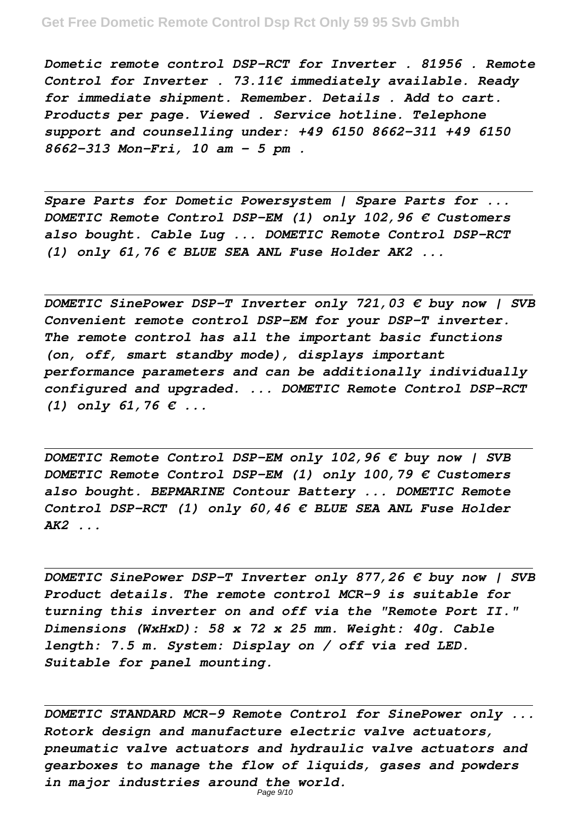*Dometic remote control DSP-RCT for Inverter . 81956 . Remote Control for Inverter . 73.11€ immediately available. Ready for immediate shipment. Remember. Details . Add to cart. Products per page. Viewed . Service hotline. Telephone support and counselling under: +49 6150 8662-311 +49 6150 8662-313 Mon-Fri, 10 am - 5 pm .*

*Spare Parts for Dometic Powersystem | Spare Parts for ... DOMETIC Remote Control DSP-EM (1) only 102,96 € Customers also bought. Cable Lug ... DOMETIC Remote Control DSP-RCT (1) only 61,76 € BLUE SEA ANL Fuse Holder AK2 ...*

*DOMETIC SinePower DSP-T Inverter only 721,03 € buy now | SVB Convenient remote control DSP-EM for your DSP-T inverter. The remote control has all the important basic functions (on, off, smart standby mode), displays important performance parameters and can be additionally individually configured and upgraded. ... DOMETIC Remote Control DSP-RCT (1) only 61,76 € ...*

*DOMETIC Remote Control DSP-EM only 102,96 € buy now | SVB DOMETIC Remote Control DSP-EM (1) only 100,79 € Customers also bought. BEPMARINE Contour Battery ... DOMETIC Remote Control DSP-RCT (1) only 60,46 € BLUE SEA ANL Fuse Holder AK2 ...*

*DOMETIC SinePower DSP-T Inverter only 877,26 € buy now | SVB Product details. The remote control MCR-9 is suitable for turning this inverter on and off via the "Remote Port II." Dimensions (WxHxD): 58 x 72 x 25 mm. Weight: 40g. Cable length: 7.5 m. System: Display on / off via red LED. Suitable for panel mounting.*

*DOMETIC STANDARD MCR-9 Remote Control for SinePower only ... Rotork design and manufacture electric valve actuators, pneumatic valve actuators and hydraulic valve actuators and gearboxes to manage the flow of liquids, gases and powders in major industries around the world.*